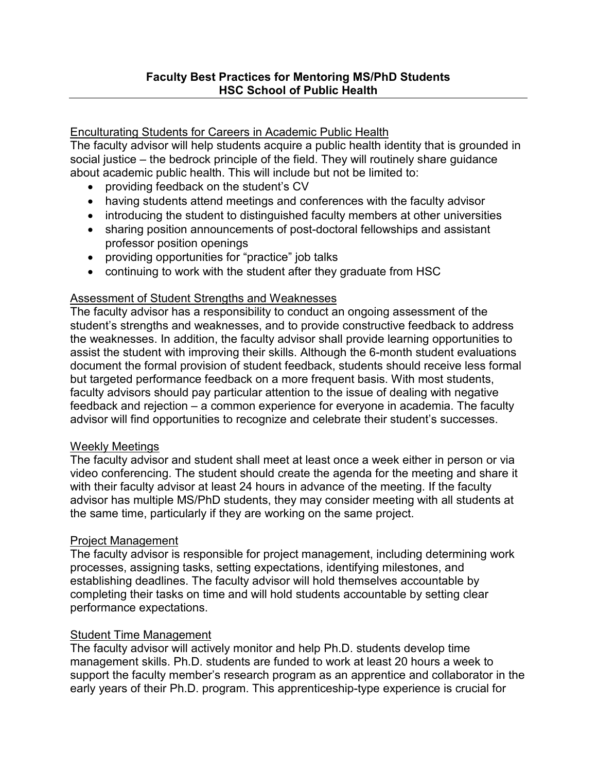### Enculturating Students for Careers in Academic Public Health

The faculty advisor will help students acquire a public health identity that is grounded in social justice – the bedrock principle of the field. They will routinely share guidance about academic public health. This will include but not be limited to:

- providing feedback on the student's CV
- having students attend meetings and conferences with the faculty advisor
- introducing the student to distinguished faculty members at other universities
- sharing position announcements of post-doctoral fellowships and assistant professor position openings
- providing opportunities for "practice" job talks
- continuing to work with the student after they graduate from HSC

### **Assessment of Student Strengths and Weaknesses**

The faculty advisor has a responsibility to conduct an ongoing assessment of the student's strengths and weaknesses, and to provide constructive feedback to address the weaknesses. In addition, the faculty advisor shall provide learning opportunities to assist the student with improving their skills. Although the 6-month student evaluations document the formal provision of student feedback, students should receive less formal but targeted performance feedback on a more frequent basis. With most students, faculty advisors should pay particular attention to the issue of dealing with negative feedback and rejection – a common experience for everyone in academia. The faculty advisor will find opportunities to recognize and celebrate their student's successes.

#### Weekly Meetings

The faculty advisor and student shall meet at least once a week either in person or via video conferencing. The student should create the agenda for the meeting and share it with their faculty advisor at least 24 hours in advance of the meeting. If the faculty advisor has multiple MS/PhD students, they may consider meeting with all students at the same time, particularly if they are working on the same project.

#### Project Management

The faculty advisor is responsible for project management, including determining work processes, assigning tasks, setting expectations, identifying milestones, and establishing deadlines. The faculty advisor will hold themselves accountable by completing their tasks on time and will hold students accountable by setting clear performance expectations.

#### Student Time Management

The faculty advisor will actively monitor and help Ph.D. students develop time management skills. Ph.D. students are funded to work at least 20 hours a week to support the faculty member's research program as an apprentice and collaborator in the early years of their Ph.D. program. This apprenticeship-type experience is crucial for